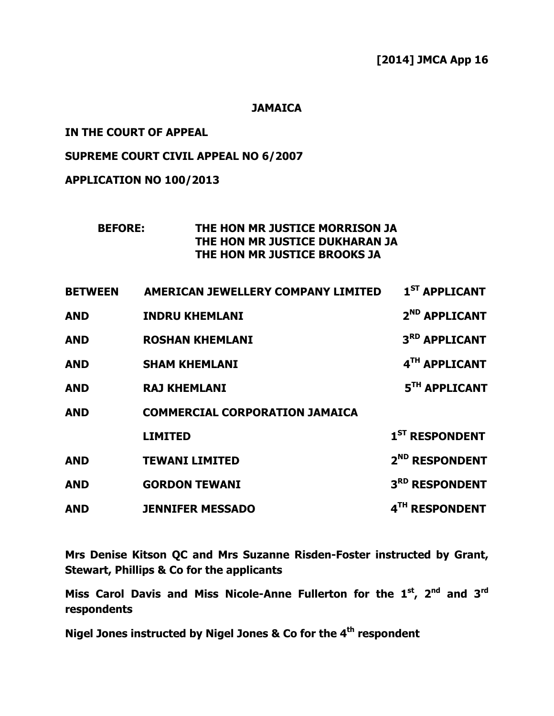### **JAMAICA**

### IN THE COURT OF APPEAL

### SUPREME COURT CIVIL APPEAL NO 6/2007

# APPLICATION NO 100/2013

## BEFORE: THE HON MR JUSTICE MORRISON JA THE HON MR JUSTICE DUKHARAN JA THE HON MR JUSTICE BROOKS JA

| <b>BETWEEN</b> | <b>AMERICAN JEWELLERY COMPANY LIMITED</b> | 1 <sup>ST</sup> APPLICANT  |
|----------------|-------------------------------------------|----------------------------|
| <b>AND</b>     | <b>INDRU KHEMLANI</b>                     | 2 <sup>ND</sup> APPLICANT  |
| <b>AND</b>     | <b>ROSHAN KHEMLANI</b>                    | 3 <sup>RD</sup> APPLICANT  |
| <b>AND</b>     | <b>SHAM KHEMLANI</b>                      | 4TH APPLICANT              |
| <b>AND</b>     | <b>RAJ KHEMLANI</b>                       | 5 <sup>TH</sup> APPLICANT  |
| <b>AND</b>     | <b>COMMERCIAL CORPORATION JAMAICA</b>     |                            |
|                | <b>LIMITED</b>                            | 1 <sup>ST</sup> RESPONDENT |
| <b>AND</b>     | <b>TEWANI LIMITED</b>                     | 2 <sup>ND</sup> RESPONDENT |
| <b>AND</b>     | <b>GORDON TEWANI</b>                      | 3RD RESPONDENT             |
| <b>AND</b>     | <b>JENNIFER MESSADO</b>                   | 4TH RESPONDENT             |

Mrs Denise Kitson QC and Mrs Suzanne Risden-Foster instructed by Grant, Stewart, Phillips & Co for the applicants

Miss Carol Davis and Miss Nicole-Anne Fullerton for the  $1<sup>st</sup>$ ,  $2<sup>nd</sup>$  and  $3<sup>rd</sup>$ respondents

Nigel Jones instructed by Nigel Jones & Co for the 4<sup>th</sup> respondent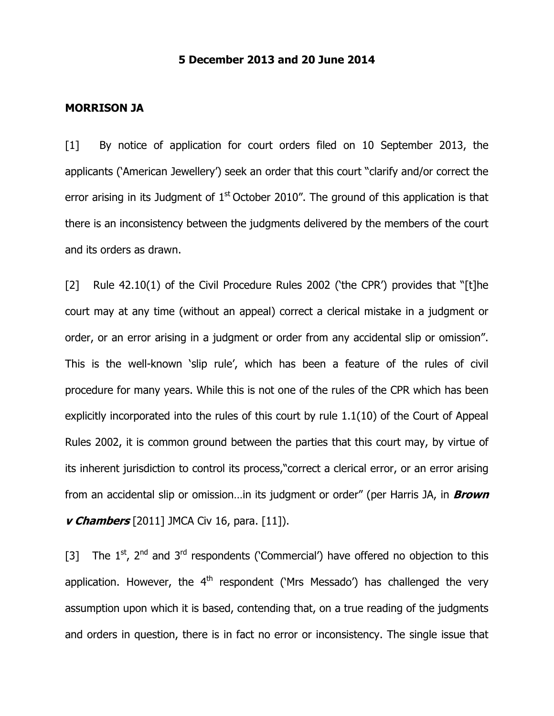## 5 December 2013 and 20 June 2014

#### MORRISON JA

[1] By notice of application for court orders filed on 10 September 2013, the applicants ('American Jewellery') seek an order that this court "clarify and/or correct the error arising in its Judgment of  $1<sup>st</sup>$  October 2010". The ground of this application is that there is an inconsistency between the judgments delivered by the members of the court and its orders as drawn.

[2] Rule 42.10(1) of the Civil Procedure Rules 2002 ('the CPR') provides that "[t]he court may at any time (without an appeal) correct a clerical mistake in a judgment or order, or an error arising in a judgment or order from any accidental slip or omission". This is the well-known 'slip rule', which has been a feature of the rules of civil procedure for many years. While this is not one of the rules of the CPR which has been explicitly incorporated into the rules of this court by rule 1.1(10) of the Court of Appeal Rules 2002, it is common ground between the parties that this court may, by virtue of its inherent jurisdiction to control its process,"correct a clerical error, or an error arising from an accidental slip or omission...in its judgment or order" (per Harris JA, in **Brown v Chambers** [2011] JMCA Civ 16, para. [11]).

[3] The  $1^{st}$ ,  $2^{nd}$  and  $3^{rd}$  respondents ('Commercial') have offered no objection to this application. However, the  $4<sup>th</sup>$  respondent ('Mrs Messado') has challenged the very assumption upon which it is based, contending that, on a true reading of the judgments and orders in question, there is in fact no error or inconsistency. The single issue that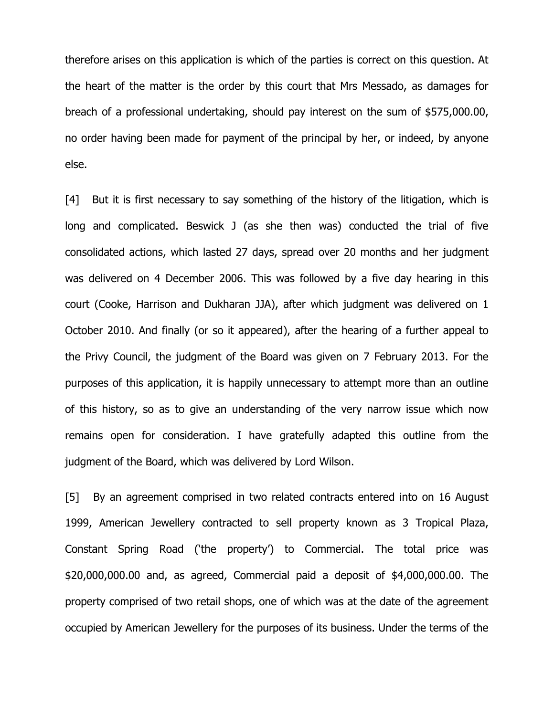therefore arises on this application is which of the parties is correct on this question. At the heart of the matter is the order by this court that Mrs Messado, as damages for breach of a professional undertaking, should pay interest on the sum of \$575,000.00, no order having been made for payment of the principal by her, or indeed, by anyone else.

[4] But it is first necessary to say something of the history of the litigation, which is long and complicated. Beswick J (as she then was) conducted the trial of five consolidated actions, which lasted 27 days, spread over 20 months and her judgment was delivered on 4 December 2006. This was followed by a five day hearing in this court (Cooke, Harrison and Dukharan JJA), after which judgment was delivered on 1 October 2010. And finally (or so it appeared), after the hearing of a further appeal to the Privy Council, the judgment of the Board was given on 7 February 2013. For the purposes of this application, it is happily unnecessary to attempt more than an outline of this history, so as to give an understanding of the very narrow issue which now remains open for consideration. I have gratefully adapted this outline from the judgment of the Board, which was delivered by Lord Wilson.

[5] By an agreement comprised in two related contracts entered into on 16 August 1999, American Jewellery contracted to sell property known as 3 Tropical Plaza, Constant Spring Road ('the property') to Commercial. The total price was \$20,000,000.00 and, as agreed, Commercial paid a deposit of \$4,000,000.00. The property comprised of two retail shops, one of which was at the date of the agreement occupied by American Jewellery for the purposes of its business. Under the terms of the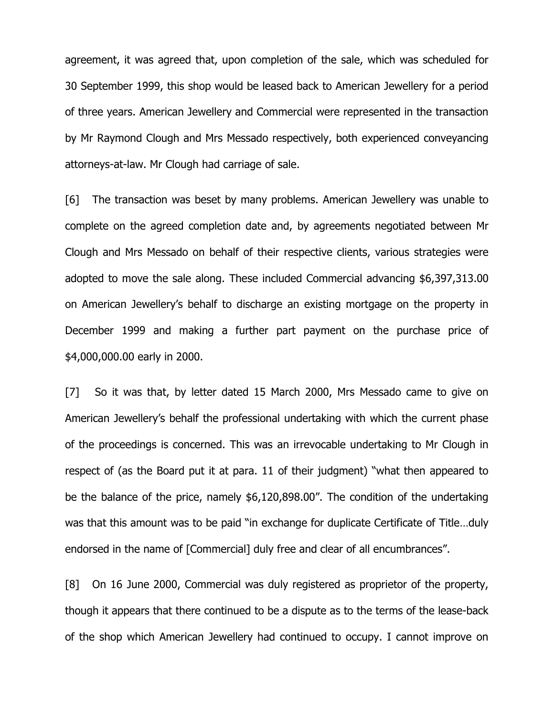agreement, it was agreed that, upon completion of the sale, which was scheduled for 30 September 1999, this shop would be leased back to American Jewellery for a period of three years. American Jewellery and Commercial were represented in the transaction by Mr Raymond Clough and Mrs Messado respectively, both experienced conveyancing attorneys-at-law. Mr Clough had carriage of sale.

[6] The transaction was beset by many problems. American Jewellery was unable to complete on the agreed completion date and, by agreements negotiated between Mr Clough and Mrs Messado on behalf of their respective clients, various strategies were adopted to move the sale along. These included Commercial advancing \$6,397,313.00 on American Jewellery's behalf to discharge an existing mortgage on the property in December 1999 and making a further part payment on the purchase price of \$4,000,000.00 early in 2000.

[7] So it was that, by letter dated 15 March 2000, Mrs Messado came to give on American Jewellery's behalf the professional undertaking with which the current phase of the proceedings is concerned. This was an irrevocable undertaking to Mr Clough in respect of (as the Board put it at para. 11 of their judgment) "what then appeared to be the balance of the price, namely \$6,120,898.00". The condition of the undertaking was that this amount was to be paid "in exchange for duplicate Certificate of Title…duly endorsed in the name of [Commercial] duly free and clear of all encumbrances".

[8] On 16 June 2000, Commercial was duly registered as proprietor of the property, though it appears that there continued to be a dispute as to the terms of the lease-back of the shop which American Jewellery had continued to occupy. I cannot improve on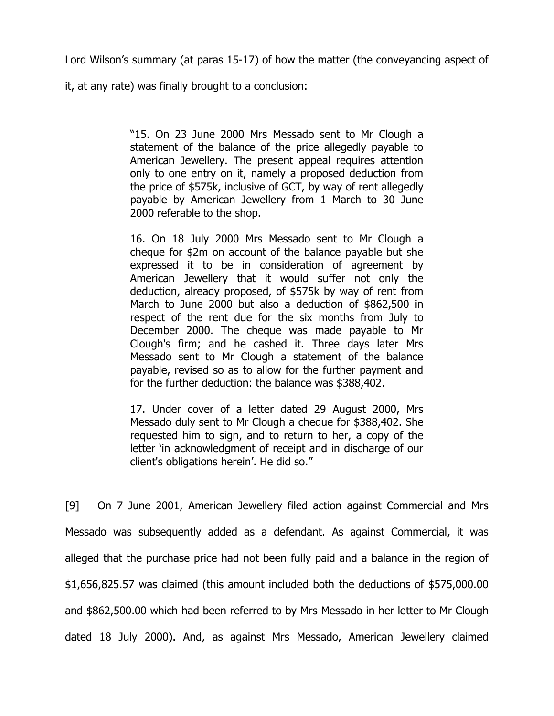Lord Wilson's summary (at paras 15-17) of how the matter (the conveyancing aspect of

it, at any rate) was finally brought to a conclusion:

"15. On 23 June 2000 Mrs Messado sent to Mr Clough a statement of the balance of the price allegedly payable to American Jewellery. The present appeal requires attention only to one entry on it, namely a proposed deduction from the price of \$575k, inclusive of GCT, by way of rent allegedly payable by American Jewellery from 1 March to 30 June 2000 referable to the shop.

16. On 18 July 2000 Mrs Messado sent to Mr Clough a cheque for \$2m on account of the balance payable but she expressed it to be in consideration of agreement by American Jewellery that it would suffer not only the deduction, already proposed, of \$575k by way of rent from March to June 2000 but also a deduction of \$862,500 in respect of the rent due for the six months from July to December 2000. The cheque was made payable to Mr Clough's firm; and he cashed it. Three days later Mrs Messado sent to Mr Clough a statement of the balance payable, revised so as to allow for the further payment and for the further deduction: the balance was \$388,402.

17. Under cover of a letter dated 29 August 2000, Mrs Messado duly sent to Mr Clough a cheque for \$388,402. She requested him to sign, and to return to her, a copy of the letter 'in acknowledgment of receipt and in discharge of our client's obligations herein'. He did so."

[9] On 7 June 2001, American Jewellery filed action against Commercial and Mrs Messado was subsequently added as a defendant. As against Commercial, it was alleged that the purchase price had not been fully paid and a balance in the region of \$1,656,825.57 was claimed (this amount included both the deductions of \$575,000.00 and \$862,500.00 which had been referred to by Mrs Messado in her letter to Mr Clough dated 18 July 2000). And, as against Mrs Messado, American Jewellery claimed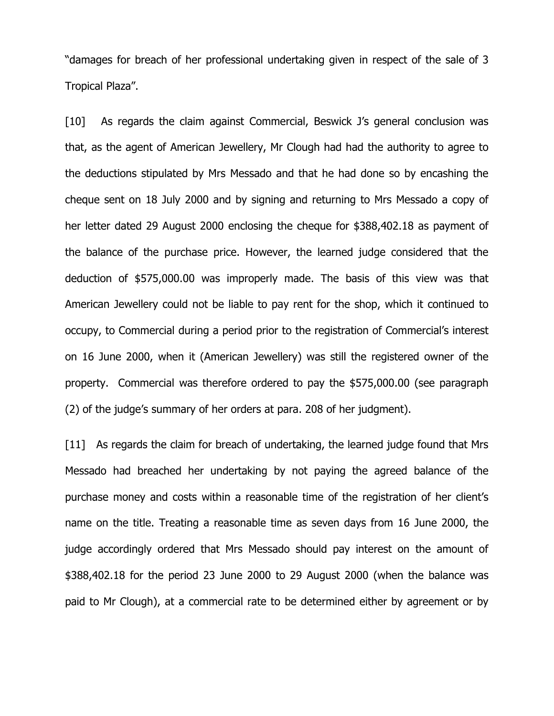"damages for breach of her professional undertaking given in respect of the sale of 3 Tropical Plaza".

[10] As regards the claim against Commercial, Beswick J's general conclusion was that, as the agent of American Jewellery, Mr Clough had had the authority to agree to the deductions stipulated by Mrs Messado and that he had done so by encashing the cheque sent on 18 July 2000 and by signing and returning to Mrs Messado a copy of her letter dated 29 August 2000 enclosing the cheque for \$388,402.18 as payment of the balance of the purchase price. However, the learned judge considered that the deduction of \$575,000.00 was improperly made. The basis of this view was that American Jewellery could not be liable to pay rent for the shop, which it continued to occupy, to Commercial during a period prior to the registration of Commercial's interest on 16 June 2000, when it (American Jewellery) was still the registered owner of the property. Commercial was therefore ordered to pay the \$575,000.00 (see paragraph (2) of the judge's summary of her orders at para. 208 of her judgment).

[11] As regards the claim for breach of undertaking, the learned judge found that Mrs Messado had breached her undertaking by not paying the agreed balance of the purchase money and costs within a reasonable time of the registration of her client's name on the title. Treating a reasonable time as seven days from 16 June 2000, the judge accordingly ordered that Mrs Messado should pay interest on the amount of \$388,402.18 for the period 23 June 2000 to 29 August 2000 (when the balance was paid to Mr Clough), at a commercial rate to be determined either by agreement or by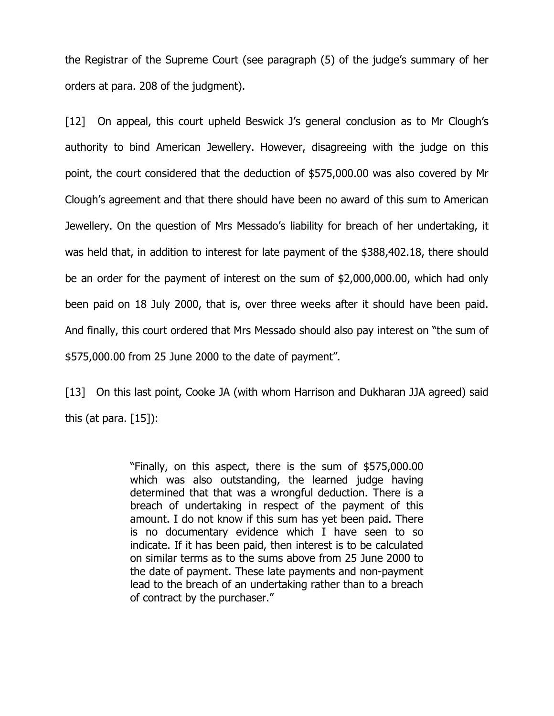the Registrar of the Supreme Court (see paragraph (5) of the judge's summary of her orders at para. 208 of the judgment).

[12] On appeal, this court upheld Beswick J's general conclusion as to Mr Clough's authority to bind American Jewellery. However, disagreeing with the judge on this point, the court considered that the deduction of \$575,000.00 was also covered by Mr Clough's agreement and that there should have been no award of this sum to American Jewellery. On the question of Mrs Messado's liability for breach of her undertaking, it was held that, in addition to interest for late payment of the \$388,402.18, there should be an order for the payment of interest on the sum of \$2,000,000.00, which had only been paid on 18 July 2000, that is, over three weeks after it should have been paid. And finally, this court ordered that Mrs Messado should also pay interest on "the sum of \$575,000.00 from 25 June 2000 to the date of payment".

[13] On this last point, Cooke JA (with whom Harrison and Dukharan JJA agreed) said this (at para.  $[15]$ ):

> "Finally, on this aspect, there is the sum of \$575,000.00 which was also outstanding, the learned judge having determined that that was a wrongful deduction. There is a breach of undertaking in respect of the payment of this amount. I do not know if this sum has yet been paid. There is no documentary evidence which I have seen to so indicate. If it has been paid, then interest is to be calculated on similar terms as to the sums above from 25 June 2000 to the date of payment. These late payments and non-payment lead to the breach of an undertaking rather than to a breach of contract by the purchaser."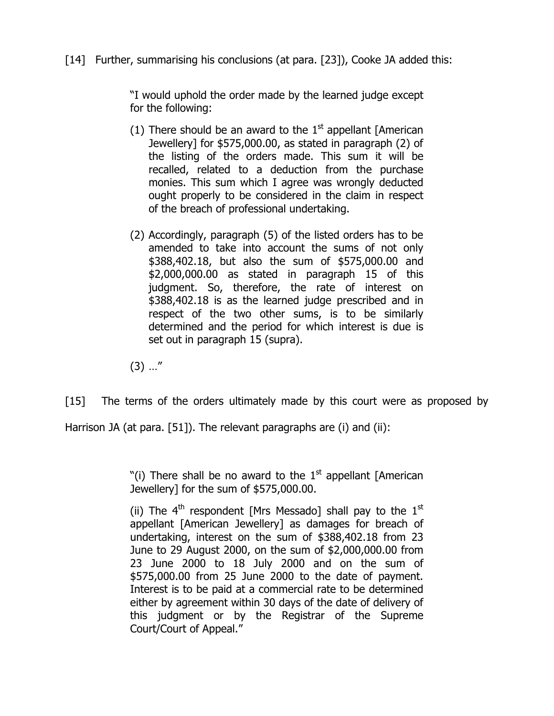# [14] Further, summarising his conclusions (at para. [23]), Cooke JA added this:

"I would uphold the order made by the learned judge except for the following:

- (1) There should be an award to the  $1<sup>st</sup>$  appellant [American] Jewellery] for \$575,000.00, as stated in paragraph (2) of the listing of the orders made. This sum it will be recalled, related to a deduction from the purchase monies. This sum which I agree was wrongly deducted ought properly to be considered in the claim in respect of the breach of professional undertaking.
- (2) Accordingly, paragraph (5) of the listed orders has to be amended to take into account the sums of not only \$388,402.18, but also the sum of \$575,000.00 and \$2,000,000.00 as stated in paragraph 15 of this judgment. So, therefore, the rate of interest on \$388,402.18 is as the learned judge prescribed and in respect of the two other sums, is to be similarly determined and the period for which interest is due is set out in paragraph 15 (supra).
- $(3)$  ..."

[15] The terms of the orders ultimately made by this court were as proposed by

Harrison JA (at para. [51]). The relevant paragraphs are (i) and (ii):

"(i) There shall be no award to the  $1<sup>st</sup>$  appellant [American Jewellery] for the sum of \$575,000.00.

(ii) The  $4<sup>th</sup>$  respondent [Mrs Messado] shall pay to the  $1<sup>st</sup>$ appellant [American Jewellery] as damages for breach of undertaking, interest on the sum of \$388,402.18 from 23 June to 29 August 2000, on the sum of \$2,000,000.00 from 23 June 2000 to 18 July 2000 and on the sum of \$575,000.00 from 25 June 2000 to the date of payment. Interest is to be paid at a commercial rate to be determined either by agreement within 30 days of the date of delivery of this judgment or by the Registrar of the Supreme Court/Court of Appeal."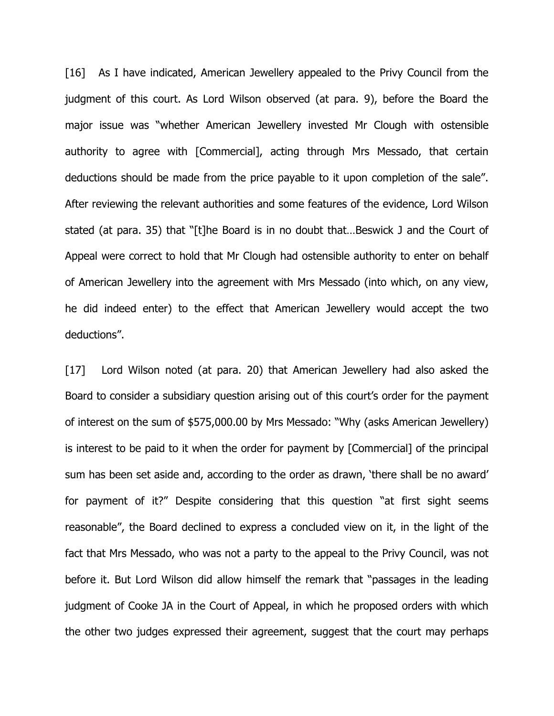[16] As I have indicated, American Jewellery appealed to the Privy Council from the judgment of this court. As Lord Wilson observed (at para. 9), before the Board the major issue was "whether American Jewellery invested Mr Clough with ostensible authority to agree with [Commercial], acting through Mrs Messado, that certain deductions should be made from the price payable to it upon completion of the sale". After reviewing the relevant authorities and some features of the evidence, Lord Wilson stated (at para. 35) that "[t]he Board is in no doubt that…Beswick J and the Court of Appeal were correct to hold that Mr Clough had ostensible authority to enter on behalf of American Jewellery into the agreement with Mrs Messado (into which, on any view, he did indeed enter) to the effect that American Jewellery would accept the two deductions".

[17] Lord Wilson noted (at para. 20) that American Jewellery had also asked the Board to consider a subsidiary question arising out of this court's order for the payment of interest on the sum of \$575,000.00 by Mrs Messado: "Why (asks American Jewellery) is interest to be paid to it when the order for payment by [Commercial] of the principal sum has been set aside and, according to the order as drawn, 'there shall be no award' for payment of it?" Despite considering that this question "at first sight seems reasonable", the Board declined to express a concluded view on it, in the light of the fact that Mrs Messado, who was not a party to the appeal to the Privy Council, was not before it. But Lord Wilson did allow himself the remark that "passages in the leading judgment of Cooke JA in the Court of Appeal, in which he proposed orders with which the other two judges expressed their agreement, suggest that the court may perhaps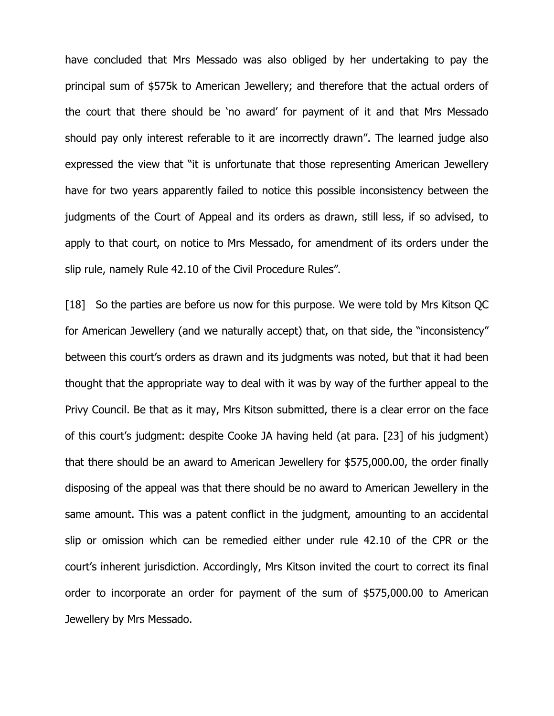have concluded that Mrs Messado was also obliged by her undertaking to pay the principal sum of \$575k to American Jewellery; and therefore that the actual orders of the court that there should be 'no award' for payment of it and that Mrs Messado should pay only interest referable to it are incorrectly drawn". The learned judge also expressed the view that "it is unfortunate that those representing American Jewellery have for two years apparently failed to notice this possible inconsistency between the judgments of the Court of Appeal and its orders as drawn, still less, if so advised, to apply to that court, on notice to Mrs Messado, for amendment of its orders under the slip rule, namely Rule 42.10 of the Civil Procedure Rules".

[18] So the parties are before us now for this purpose. We were told by Mrs Kitson QC for American Jewellery (and we naturally accept) that, on that side, the "inconsistency" between this court's orders as drawn and its judgments was noted, but that it had been thought that the appropriate way to deal with it was by way of the further appeal to the Privy Council. Be that as it may, Mrs Kitson submitted, there is a clear error on the face of this court's judgment: despite Cooke JA having held (at para. [23] of his judgment) that there should be an award to American Jewellery for \$575,000.00, the order finally disposing of the appeal was that there should be no award to American Jewellery in the same amount. This was a patent conflict in the judgment, amounting to an accidental slip or omission which can be remedied either under rule 42.10 of the CPR or the court's inherent jurisdiction. Accordingly, Mrs Kitson invited the court to correct its final order to incorporate an order for payment of the sum of \$575,000.00 to American Jewellery by Mrs Messado.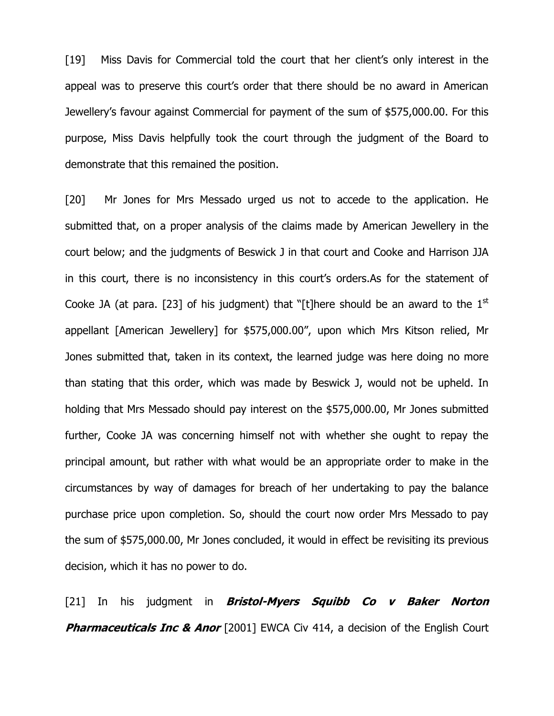[19] Miss Davis for Commercial told the court that her client's only interest in the appeal was to preserve this court's order that there should be no award in American Jewellery's favour against Commercial for payment of the sum of \$575,000.00. For this purpose, Miss Davis helpfully took the court through the judgment of the Board to demonstrate that this remained the position.

[20] Mr Jones for Mrs Messado urged us not to accede to the application. He submitted that, on a proper analysis of the claims made by American Jewellery in the court below; and the judgments of Beswick J in that court and Cooke and Harrison JJA in this court, there is no inconsistency in this court's orders.As for the statement of Cooke JA (at para. [23] of his judgment) that "[t]here should be an award to the  $1<sup>st</sup>$ appellant [American Jewellery] for \$575,000.00", upon which Mrs Kitson relied, Mr Jones submitted that, taken in its context, the learned judge was here doing no more than stating that this order, which was made by Beswick J, would not be upheld. In holding that Mrs Messado should pay interest on the \$575,000.00, Mr Jones submitted further, Cooke JA was concerning himself not with whether she ought to repay the principal amount, but rather with what would be an appropriate order to make in the circumstances by way of damages for breach of her undertaking to pay the balance purchase price upon completion. So, should the court now order Mrs Messado to pay the sum of \$575,000.00, Mr Jones concluded, it would in effect be revisiting its previous decision, which it has no power to do.

[21] In his judgment in *Bristol-Myers Squibb Co v Baker Norton* **Pharmaceuticals Inc & Anor** [2001] EWCA Civ 414, a decision of the English Court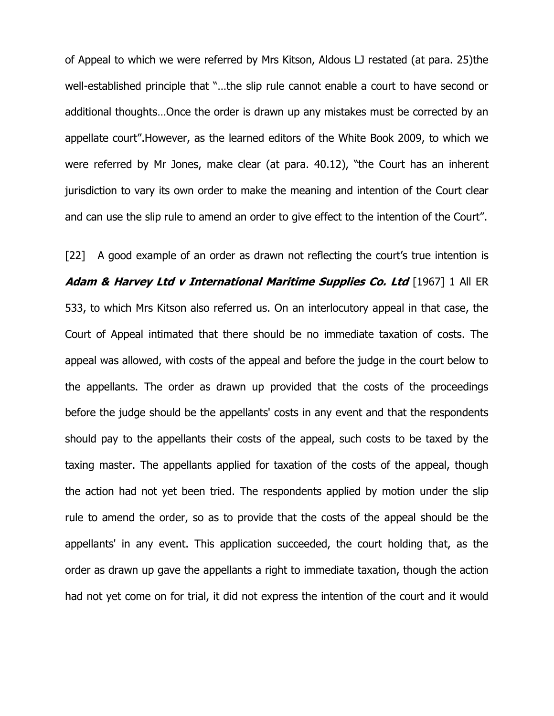of Appeal to which we were referred by Mrs Kitson, Aldous LJ restated (at para. 25)the well-established principle that "…the slip rule cannot enable a court to have second or additional thoughts…Once the order is drawn up any mistakes must be corrected by an appellate court".However, as the learned editors of the White Book 2009, to which we were referred by Mr Jones, make clear (at para. 40.12), "the Court has an inherent jurisdiction to vary its own order to make the meaning and intention of the Court clear and can use the slip rule to amend an order to give effect to the intention of the Court".

[22] A good example of an order as drawn not reflecting the court's true intention is Adam & Harvey Ltd v International Maritime Supplies Co. Ltd [1967] 1 All ER 533, to which Mrs Kitson also referred us. On an interlocutory appeal in that case, the Court of Appeal intimated that there should be no immediate taxation of costs. The appeal was allowed, with costs of the appeal and before the judge in the court below to the appellants. The order as drawn up provided that the costs of the proceedings before the judge should be the appellants' costs in any event and that the respondents should pay to the appellants their costs of the appeal, such costs to be taxed by the taxing master. The appellants applied for taxation of the costs of the appeal, though the action had not yet been tried. The respondents applied by motion under the slip rule to amend the order, so as to provide that the costs of the appeal should be the appellants' in any event. This application succeeded, the court holding that, as the order as drawn up gave the appellants a right to immediate taxation, though the action had not yet come on for trial, it did not express the intention of the court and it would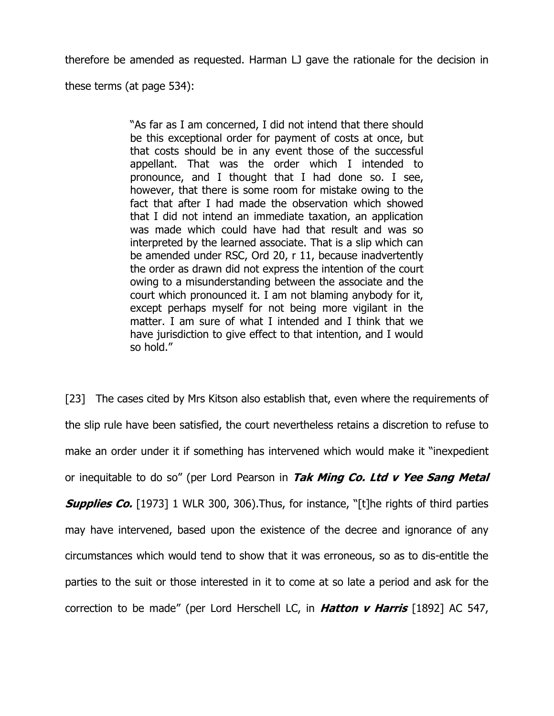therefore be amended as requested. Harman LJ gave the rationale for the decision in

these terms (at page 534):

"As far as I am concerned, I did not intend that there should be this exceptional order for payment of costs at once, but that costs should be in any event those of the successful appellant. That was the order which I intended to pronounce, and I thought that I had done so. I see, however, that there is some room for mistake owing to the fact that after I had made the observation which showed that I did not intend an immediate taxation, an application was made which could have had that result and was so interpreted by the learned associate. That is a slip which can be amended under RSC, Ord 20, r 11, because inadvertently the order as drawn did not express the intention of the court owing to a misunderstanding between the associate and the court which pronounced it. I am not blaming anybody for it, except perhaps myself for not being more vigilant in the matter. I am sure of what I intended and I think that we have jurisdiction to give effect to that intention, and I would so hold."

[23] The cases cited by Mrs Kitson also establish that, even where the requirements of the slip rule have been satisfied, the court nevertheless retains a discretion to refuse to make an order under it if something has intervened which would make it "inexpedient or inequitable to do so" (per Lord Pearson in Tak Ming Co. Ltd v Yee Sang Metal **Supplies Co.** [1973] 1 WLR 300, 306). Thus, for instance, "[t]he rights of third parties may have intervened, based upon the existence of the decree and ignorance of any circumstances which would tend to show that it was erroneous, so as to dis-entitle the parties to the suit or those interested in it to come at so late a period and ask for the correction to be made" (per Lord Herschell LC, in **Hatton v Harris** [1892] AC 547,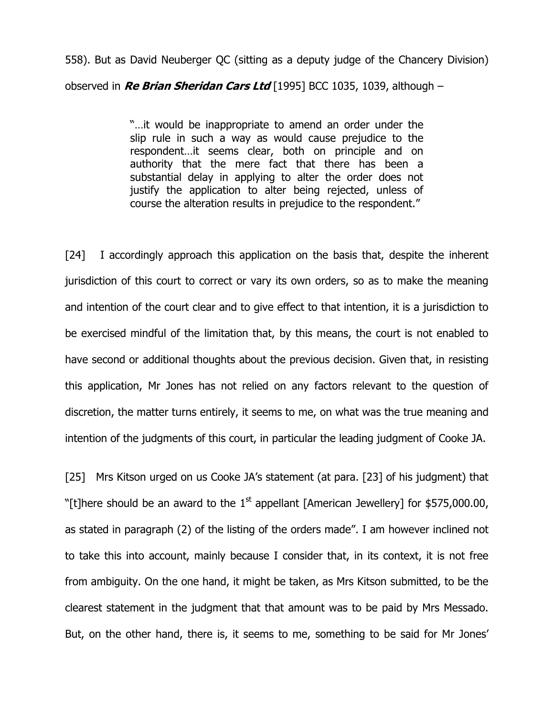558). But as David Neuberger QC (sitting as a deputy judge of the Chancery Division) observed in Re Brian Sheridan Cars Ltd [1995] BCC 1035, 1039, although  $-$ 

> "…it would be inappropriate to amend an order under the slip rule in such a way as would cause prejudice to the respondent…it seems clear, both on principle and on authority that the mere fact that there has been a substantial delay in applying to alter the order does not justify the application to alter being rejected, unless of course the alteration results in prejudice to the respondent."

[24] I accordingly approach this application on the basis that, despite the inherent jurisdiction of this court to correct or vary its own orders, so as to make the meaning and intention of the court clear and to give effect to that intention, it is a jurisdiction to be exercised mindful of the limitation that, by this means, the court is not enabled to have second or additional thoughts about the previous decision. Given that, in resisting this application, Mr Jones has not relied on any factors relevant to the question of discretion, the matter turns entirely, it seems to me, on what was the true meaning and intention of the judgments of this court, in particular the leading judgment of Cooke JA.

[25] Mrs Kitson urged on us Cooke JA's statement (at para. [23] of his judgment) that "[t]here should be an award to the  $1<sup>st</sup>$  appellant [American Jewellery] for \$575,000,00, as stated in paragraph (2) of the listing of the orders made". I am however inclined not to take this into account, mainly because I consider that, in its context, it is not free from ambiguity. On the one hand, it might be taken, as Mrs Kitson submitted, to be the clearest statement in the judgment that that amount was to be paid by Mrs Messado. But, on the other hand, there is, it seems to me, something to be said for Mr Jones'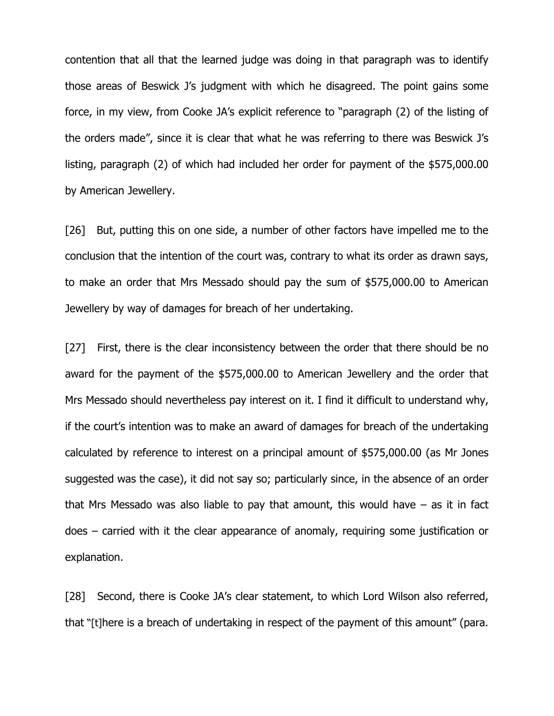contention that all that the learned judge was doing in that paragraph was to identify those areas of Beswick J's judgment with which he disagreed. The point gains some force, in my view, from Cooke JA's explicit reference to "paragraph (2) of the listing of the orders made", since it is clear that what he was referring to there was Beswick J's listing, paragraph (2) of which had included her order for payment of the \$575,000.00 by American Jewellery.

[26] But, putting this on one side, a number of other factors have impelled me to the conclusion that the intention of the court was, contrary to what its order as drawn says, to make an order that Mrs Messado should pay the sum of \$575,000.00 to American Jewellery by way of damages for breach of her undertaking.

[27] First, there is the clear inconsistency between the order that there should be no award for the payment of the \$575,000.00 to American Jewellery and the order that Mrs Messado should nevertheless pay interest on it. I find it difficult to understand why, if the court's intention was to make an award of damages for breach of the undertaking calculated by reference to interest on a principal amount of \$575,000.00 (as Mr Jones suggested was the case), it did not say so; particularly since, in the absence of an order that Mrs Messado was also liable to pay that amount, this would have  $-$  as it in fact does – carried with it the clear appearance of anomaly, requiring some justification or explanation.

[28] Second, there is Cooke JA's clear statement, to which Lord Wilson also referred, that "[t]here is a breach of undertaking in respect of the payment of this amount" (para.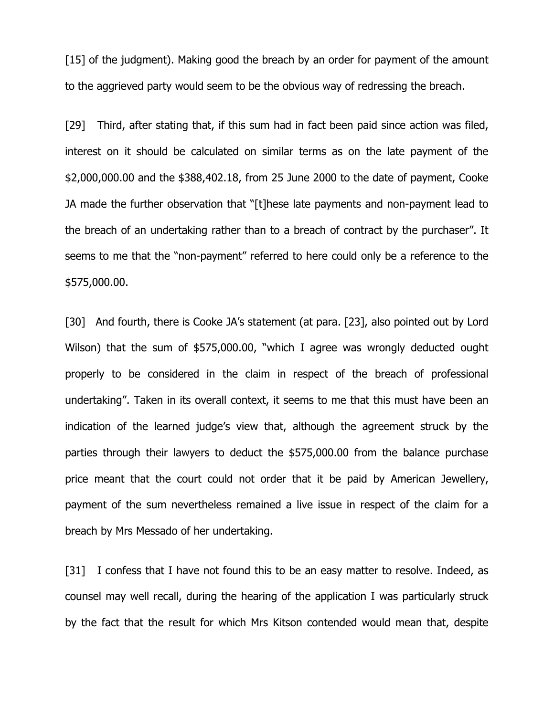[15] of the judgment). Making good the breach by an order for payment of the amount to the aggrieved party would seem to be the obvious way of redressing the breach.

[29] Third, after stating that, if this sum had in fact been paid since action was filed, interest on it should be calculated on similar terms as on the late payment of the \$2,000,000.00 and the \$388,402.18, from 25 June 2000 to the date of payment, Cooke JA made the further observation that "[t]hese late payments and non-payment lead to the breach of an undertaking rather than to a breach of contract by the purchaser". It seems to me that the "non-payment" referred to here could only be a reference to the \$575,000.00.

[30] And fourth, there is Cooke JA's statement (at para. [23], also pointed out by Lord Wilson) that the sum of \$575,000.00, "which I agree was wrongly deducted ought properly to be considered in the claim in respect of the breach of professional undertaking". Taken in its overall context, it seems to me that this must have been an indication of the learned judge's view that, although the agreement struck by the parties through their lawyers to deduct the \$575,000.00 from the balance purchase price meant that the court could not order that it be paid by American Jewellery, payment of the sum nevertheless remained a live issue in respect of the claim for a breach by Mrs Messado of her undertaking.

[31] I confess that I have not found this to be an easy matter to resolve. Indeed, as counsel may well recall, during the hearing of the application I was particularly struck by the fact that the result for which Mrs Kitson contended would mean that, despite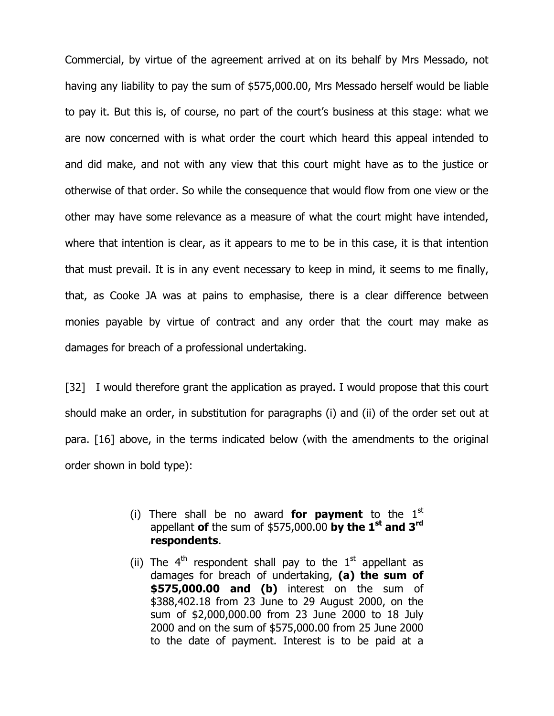Commercial, by virtue of the agreement arrived at on its behalf by Mrs Messado, not having any liability to pay the sum of \$575,000.00, Mrs Messado herself would be liable to pay it. But this is, of course, no part of the court's business at this stage: what we are now concerned with is what order the court which heard this appeal intended to and did make, and not with any view that this court might have as to the justice or otherwise of that order. So while the consequence that would flow from one view or the other may have some relevance as a measure of what the court might have intended, where that intention is clear, as it appears to me to be in this case, it is that intention that must prevail. It is in any event necessary to keep in mind, it seems to me finally, that, as Cooke JA was at pains to emphasise, there is a clear difference between monies payable by virtue of contract and any order that the court may make as damages for breach of a professional undertaking.

[32] I would therefore grant the application as prayed. I would propose that this court should make an order, in substitution for paragraphs (i) and (ii) of the order set out at para. [16] above, in the terms indicated below (with the amendments to the original order shown in bold type):

- (i) There shall be no award **for payment** to the  $1<sup>st</sup>$ appellant of the sum of \$575,000.00 by the  $1^{st}$  and  $3^{rd}$ respondents.
- (ii) The  $4<sup>th</sup>$  respondent shall pay to the  $1<sup>st</sup>$  appellant as damages for breach of undertaking, (a) the sum of **\$575,000.00 and (b)** interest on the sum of \$388,402.18 from 23 June to 29 August 2000, on the sum of \$2,000,000.00 from 23 June 2000 to 18 July 2000 and on the sum of \$575,000.00 from 25 June 2000 to the date of payment. Interest is to be paid at a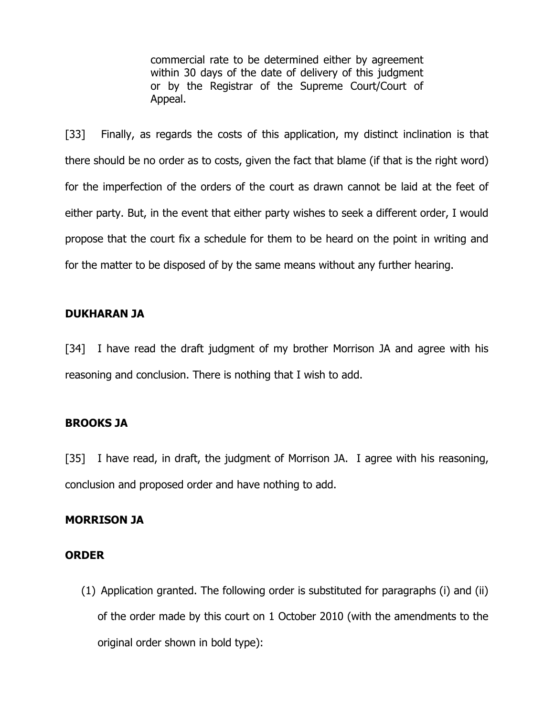commercial rate to be determined either by agreement within 30 days of the date of delivery of this judgment or by the Registrar of the Supreme Court/Court of Appeal.

[33] Finally, as regards the costs of this application, my distinct inclination is that there should be no order as to costs, given the fact that blame (if that is the right word) for the imperfection of the orders of the court as drawn cannot be laid at the feet of either party. But, in the event that either party wishes to seek a different order, I would propose that the court fix a schedule for them to be heard on the point in writing and for the matter to be disposed of by the same means without any further hearing.

### DUKHARAN JA

[34] I have read the draft judgment of my brother Morrison JA and agree with his reasoning and conclusion. There is nothing that I wish to add.

### BROOKS JA

[35] I have read, in draft, the judgment of Morrison JA. I agree with his reasoning, conclusion and proposed order and have nothing to add.

#### MORRISON JA

#### ORDER

(1) Application granted. The following order is substituted for paragraphs (i) and (ii) of the order made by this court on 1 October 2010 (with the amendments to the original order shown in bold type):